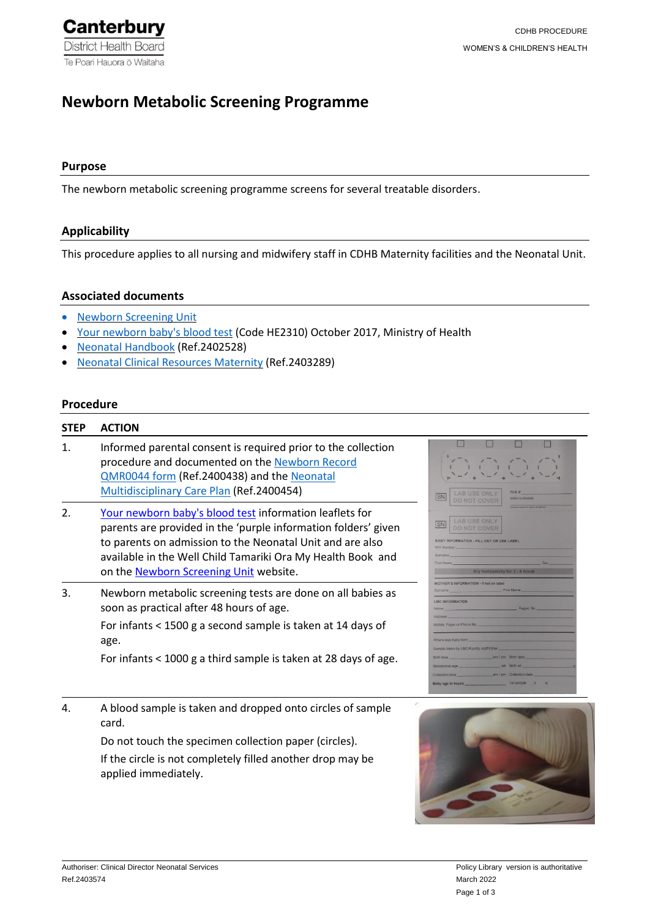# **Newborn Metabolic Screening Programme**

#### **Purpose**

The newborn metabolic screening programme screens for several treatable disorders.

# **Applicability**

This procedure applies to all nursing and midwifery staff in CDHB Maternity facilities and the Neonatal Unit.

# **Associated documents**

- [Newborn Screening Unit](https://www.nsu.govt.nz/health-professionals/newborn-metabolic-screening-programme/procedures-guidelines-and-reports-0)
- [Your newborn baby's blood test](https://www.nsu.govt.nz/system/files/resources/your-newborn-babys-blood-text-oct17.pdf) (Code HE2310) October 2017, Ministry of Health
- [Neonatal Handbook](https://prism.cdhb.health.nz/site/policies/SitePages/Policy%2520View.aspx?ppid=2402528) (Ref.2402528)
- [Neonatal Clinical Resources Maternity](https://prism.cdhb.health.nz/site/policies/SitePages/Policy%2520View.aspx?ppid=2403289) (Ref.2403289)

# **Procedure**

#### **STEP ACTION**

- 1. Informed parental consent is required prior to the collection procedure and documented on the [Newborn Record](https://prism.cdhb.health.nz/site/policies/SitePages/Policy%2520View.aspx?ppid=2400438)  [QMR0044 form](https://prism.cdhb.health.nz/site/policies/SitePages/Policy%2520View.aspx?ppid=2400438) (Ref.2400438) and th[e Neonatal](https://prism.cdhb.health.nz/site/policies/SitePages/Policy%2520View.aspx?ppid=2400454)  [Multidisciplinary Care Plan](https://prism.cdhb.health.nz/site/policies/SitePages/Policy%2520View.aspx?ppid=2400454) (Ref.2400454)
- 2. [Your newborn baby's blood test](https://www.nsu.govt.nz/system/files/resources/your-newborn-babys-blood-text-oct17.pdf) information leaflets for parents are provided in the 'purple information folders' given to parents on admission to the Neonatal Unit and are also available in the Well Child Tamariki Ora My Health Book and on th[e Newborn Screening Unit](https://www.nsu.govt.nz/health-professionals/newborn-metabolic-screening-programme/procedures-guidelines-and-reports-0) website.
- 3. Newborn metabolic screening tests are done on all babies as soon as practical after 48 hours of age. For infants < 1500 g a second sample is taken at 14 days of age.

For infants < 1000 g a third sample is taken at 28 days of age.

4. A blood sample is taken and dropped onto circles of sample card.

Do not touch the specimen collection paper (circles).

If the circle is not completely filled another drop may be applied immediately.

| SN                      |                                             | <b>LAB USE ONLY</b><br><b>DO NOT COVER</b>                                                                        | NHI#<br><b>BABY SURNAME</b><br>Entrance manner is some all below)                                                  |                                |
|-------------------------|---------------------------------------------|-------------------------------------------------------------------------------------------------------------------|--------------------------------------------------------------------------------------------------------------------|--------------------------------|
| SN                      |                                             | <b>LAB USE ONLY</b><br><b>DO NOT COVER</b>                                                                        |                                                                                                                    |                                |
|                         |                                             | BABY INFORMATION - FILL OUT OR USE LABEL                                                                          |                                                                                                                    |                                |
|                         |                                             | NHI Number 2004 - The Contract of the Contract of The Contract of The Contract of The Contract of The Contract of |                                                                                                                    |                                |
|                         |                                             |                                                                                                                   | Sumame and the state of the state of the state of the state of the state of the state of the state of the state of |                                |
|                         |                                             |                                                                                                                   | Dry horizontally for 2 - 4 hours                                                                                   |                                |
|                         |                                             |                                                                                                                   |                                                                                                                    |                                |
|                         |                                             | MOTHER'S INFORMATION - If not on label<br>Sumame First Name                                                       |                                                                                                                    |                                |
|                         |                                             |                                                                                                                   |                                                                                                                    |                                |
| <b>I MC INFORMATION</b> |                                             |                                                                                                                   |                                                                                                                    |                                |
|                         |                                             |                                                                                                                   |                                                                                                                    | Name Regist No.                |
|                         | Address and the contract of the contract of | the company of the company                                                                                        |                                                                                                                    |                                |
|                         |                                             |                                                                                                                   | Mobile, Pager or Phone No.                                                                                         |                                |
|                         |                                             | Where was baby born                                                                                               |                                                                                                                    |                                |
|                         |                                             | Sample taken by LMC/Facility staff/Other                                                                          | the control of the control of the control of                                                                       |                                |
|                         |                                             |                                                                                                                   |                                                                                                                    | Birth time. am / pm Birth date |
|                         |                                             |                                                                                                                   |                                                                                                                    | Gestational age wk Birth wt.   |
|                         |                                             |                                                                                                                   | Collection time am / pm Collection date                                                                            |                                |
|                         |                                             |                                                                                                                   | 1st sample Y N                                                                                                     |                                |

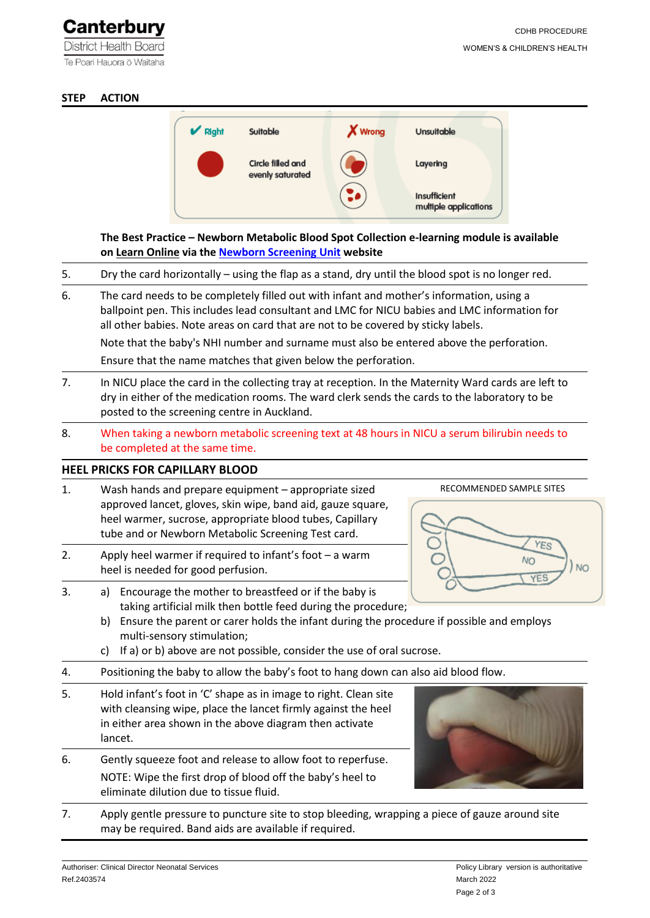**District Health Board** Te Poari Hauora ō Waitaha

# **STEP ACTION**



**The Best Practice – Newborn Metabolic Blood Spot Collection e-learning module is available on [Learn Online](https://learnonline.health.nz/totara/catalog/index.php) via th[e Newborn Screening Unit](https://www.nsu.govt.nz/health-professionals/newborn-metabolic-screening-programme/procedures-guidelines-and-reports-0) website** 

- 5. Dry the card horizontally using the flap as a stand, dry until the blood spot is no longer red.
- 6. The card needs to be completely filled out with infant and mother's information, using a ballpoint pen. This includes lead consultant and LMC for NICU babies and LMC information for all other babies. Note areas on card that are not to be covered by sticky labels.

Note that the baby's NHI number and surname must also be entered above the perforation.

Ensure that the name matches that given below the perforation.

- 7. In NICU place the card in the collecting tray at reception. In the Maternity Ward cards are left to dry in either of the medication rooms. The ward clerk sends the cards to the laboratory to be posted to the screening centre in Auckland.
- 8. When taking a newborn metabolic screening text at 48 hours in NICU a serum bilirubin needs to be completed at the same time.

# **HEEL PRICKS FOR CAPILLARY BLOOD**

- 1. Wash hands and prepare equipment appropriate sized approved lancet, gloves, skin wipe, band aid, gauze square, heel warmer, sucrose, appropriate blood tubes, Capillary tube and or Newborn Metabolic Screening Test card.
- 2. Apply heel warmer if required to infant's foot a warm heel is needed for good perfusion.



- 3. a) Encourage the mother to breastfeed or if the baby is taking artificial milk then bottle feed during the procedure;
	- b) Ensure the parent or carer holds the infant during the procedure if possible and employs multi-sensory stimulation;
	- c) If a) or b) above are not possible, consider the use of oral sucrose.
- 4. Positioning the baby to allow the baby's foot to hang down can also aid blood flow.
- 5. Hold infant's foot in 'C' shape as in image to right. Clean site with cleansing wipe, place the lancet firmly against the heel in either area shown in the above diagram then activate lancet.
- 6. Gently squeeze foot and release to allow foot to reperfuse. NOTE: Wipe the first drop of blood off the baby's heel to eliminate dilution due to tissue fluid.



7. Apply gentle pressure to puncture site to stop bleeding, wrapping a piece of gauze around site may be required. Band aids are available if required.